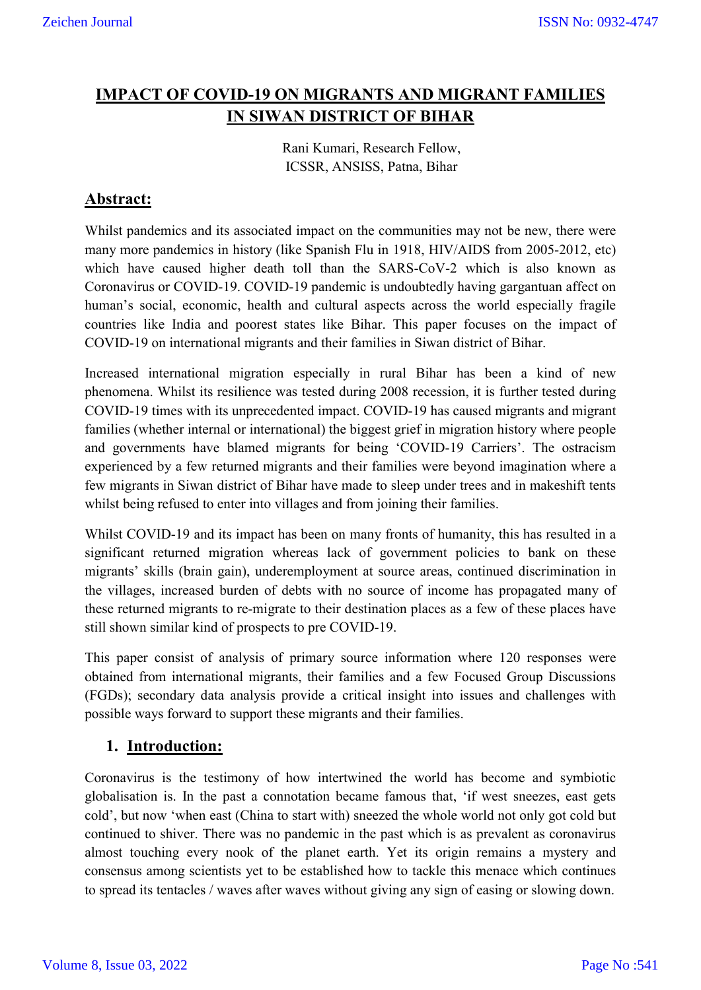# **IMPACT OF COVID-19 ON MIGRANTS AND MIGRANT FAMILIES IN SIWAN DISTRICT OF BIHAR**

Rani Kumari, Research Fellow, ICSSR, ANSISS, Patna, Bihar

## **Abstract:**

Whilst pandemics and its associated impact on the communities may not be new, there were many more pandemics in history (like Spanish Flu in 1918, HIV/AIDS from 2005-2012, etc) which have caused higher death toll than the SARS-CoV-2 which is also known as Coronavirus or COVID-19. COVID-19 pandemic is undoubtedly having gargantuan affect on human's social, economic, health and cultural aspects across the world especially fragile countries like India and poorest states like Bihar. This paper focuses on the impact of COVID-19 on international migrants and their families in Siwan district of Bihar.

Increased international migration especially in rural Bihar has been a kind of new phenomena. Whilst its resilience was tested during 2008 recession, it is further tested during COVID-19 times with its unprecedented impact. COVID-19 has caused migrants and migrant families (whether internal or international) the biggest grief in migration history where people and governments have blamed migrants for being 'COVID-19 Carriers'. The ostracism experienced by a few returned migrants and their families were beyond imagination where a few migrants in Siwan district of Bihar have made to sleep under trees and in makeshift tents whilst being refused to enter into villages and from joining their families.

Whilst COVID-19 and its impact has been on many fronts of humanity, this has resulted in a significant returned migration whereas lack of government policies to bank on these migrants' skills (brain gain), underemployment at source areas, continued discrimination in the villages, increased burden of debts with no source of income has propagated many of these returned migrants to re-migrate to their destination places as a few of these places have still shown similar kind of prospects to pre COVID-19.

This paper consist of analysis of primary source information where 120 responses were obtained from international migrants, their families and a few Focused Group Discussions (FGDs); secondary data analysis provide a critical insight into issues and challenges with possible ways forward to support these migrants and their families.

## **1. Introduction:**

Coronavirus is the testimony of how intertwined the world has become and symbiotic globalisation is. In the past a connotation became famous that, 'if west sneezes, east gets cold', but now 'when east (China to start with) sneezed the whole world not only got cold but continued to shiver. There was no pandemic in the past which is as prevalent as coronavirus almost touching every nook of the planet earth. Yet its origin remains a mystery and consensus among scientists yet to be established how to tackle this menace which continues to spread its tentacles / waves after waves without giving any sign of easing or slowing down.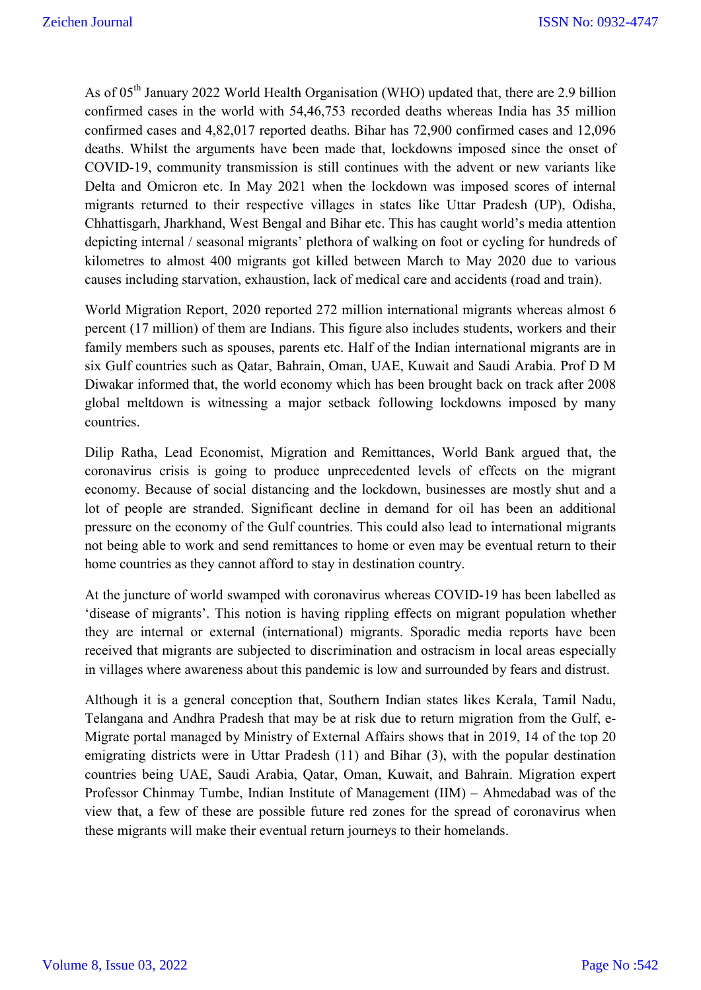As of 05<sup>th</sup> January 2022 World Health Organisation (WHO) updated that, there are 2.9 billion confirmed cases in the world with 54,46,753 recorded deaths whereas India has 35 million confirmed cases and 4,82,017 reported deaths. Bihar has 72,900 confirmed cases and 12,096 deaths. Whilst the arguments have been made that, lockdowns imposed since the onset of COVID-19, community transmission is still continues with the advent or new variants like Delta and Omicron etc. In May 2021 when the lockdown was imposed scores of internal migrants returned to their respective villages in states like Uttar Pradesh (UP), Odisha, Chhattisgarh, Jharkhand, West Bengal and Bihar etc. This has caught world's media attention depicting internal / seasonal migrants' plethora of walking on foot or cycling for hundreds of kilometres to almost 400 migrants got killed between March to May 2020 due to various causes including starvation, exhaustion, lack of medical care and accidents (road and train).

World Migration Report, 2020 reported 272 million international migrants whereas almost 6 percent (17 million) of them are Indians. This figure also includes students, workers and their family members such as spouses, parents etc. Half of the Indian international migrants are in six Gulf countries such as Qatar, Bahrain, Oman, UAE, Kuwait and Saudi Arabia. Prof D M Diwakar informed that, the world economy which has been brought back on track after 2008 global meltdown is witnessing a major setback following lockdowns imposed by many countries.

Dilip Ratha, Lead Economist, Migration and Remittances, World Bank argued that, the coronavirus crisis is going to produce unprecedented levels of effects on the migrant economy. Because of social distancing and the lockdown, businesses are mostly shut and a lot of people are stranded. Significant decline in demand for oil has been an additional pressure on the economy of the Gulf countries. This could also lead to international migrants not being able to work and send remittances to home or even may be eventual return to their home countries as they cannot afford to stay in destination country.

At the juncture of world swamped with coronavirus whereas COVID-19 has been labelled as 'disease of migrants'. This notion is having rippling effects on migrant population whether they are internal or external (international) migrants. Sporadic media reports have been received that migrants are subjected to discrimination and ostracism in local areas especially in villages where awareness about this pandemic is low and surrounded by fears and distrust.

Although it is a general conception that, Southern Indian states likes Kerala, Tamil Nadu, Telangana and Andhra Pradesh that may be at risk due to return migration from the Gulf, e-Migrate portal managed by Ministry of External Affairs shows that in 2019, 14 of the top 20 emigrating districts were in Uttar Pradesh (11) and Bihar (3), with the popular destination countries being UAE, Saudi Arabia, Qatar, Oman, Kuwait, and Bahrain. Migration expert Professor Chinmay Tumbe, Indian Institute of Management (IIM) – Ahmedabad was of the view that, a few of these are possible future red zones for the spread of coronavirus when these migrants will make their eventual return journeys to their homelands.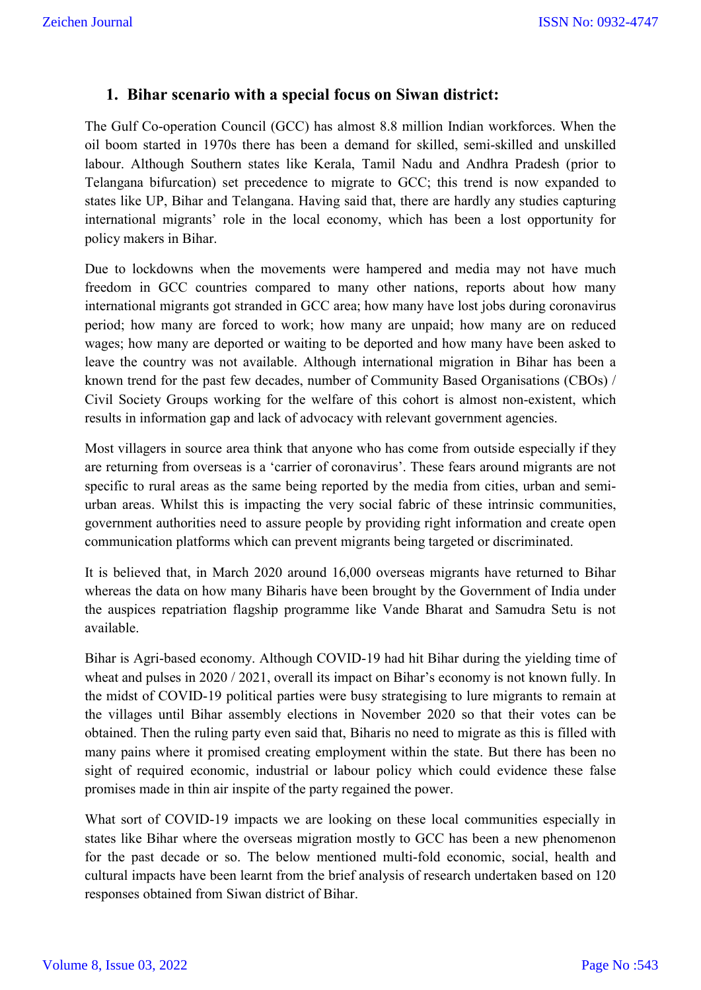#### **1. Bihar scenario with a special focus on Siwan district:**

The Gulf Co-operation Council (GCC) has almost 8.8 million Indian workforces. When the oil boom started in 1970s there has been a demand for skilled, semi-skilled and unskilled labour. Although Southern states like Kerala, Tamil Nadu and Andhra Pradesh (prior to Telangana bifurcation) set precedence to migrate to GCC; this trend is now expanded to states like UP, Bihar and Telangana. Having said that, there are hardly any studies capturing international migrants' role in the local economy, which has been a lost opportunity for policy makers in Bihar.

Due to lockdowns when the movements were hampered and media may not have much freedom in GCC countries compared to many other nations, reports about how many international migrants got stranded in GCC area; how many have lost jobs during coronavirus period; how many are forced to work; how many are unpaid; how many are on reduced wages; how many are deported or waiting to be deported and how many have been asked to leave the country was not available. Although international migration in Bihar has been a known trend for the past few decades, number of Community Based Organisations (CBOs) / Civil Society Groups working for the welfare of this cohort is almost non-existent, which results in information gap and lack of advocacy with relevant government agencies.

Most villagers in source area think that anyone who has come from outside especially if they are returning from overseas is a 'carrier of coronavirus'. These fears around migrants are not specific to rural areas as the same being reported by the media from cities, urban and semiurban areas. Whilst this is impacting the very social fabric of these intrinsic communities, government authorities need to assure people by providing right information and create open communication platforms which can prevent migrants being targeted or discriminated.

It is believed that, in March 2020 around 16,000 overseas migrants have returned to Bihar whereas the data on how many Biharis have been brought by the Government of India under the auspices repatriation flagship programme like Vande Bharat and Samudra Setu is not available.

Bihar is Agri-based economy. Although COVID-19 had hit Bihar during the yielding time of wheat and pulses in 2020 / 2021, overall its impact on Bihar's economy is not known fully. In the midst of COVID-19 political parties were busy strategising to lure migrants to remain at the villages until Bihar assembly elections in November 2020 so that their votes can be obtained. Then the ruling party even said that, Biharis no need to migrate as this is filled with many pains where it promised creating employment within the state. But there has been no sight of required economic, industrial or labour policy which could evidence these false promises made in thin air inspite of the party regained the power.

What sort of COVID-19 impacts we are looking on these local communities especially in states like Bihar where the overseas migration mostly to GCC has been a new phenomenon for the past decade or so. The below mentioned multi-fold economic, social, health and cultural impacts have been learnt from the brief analysis of research undertaken based on 120 responses obtained from Siwan district of Bihar.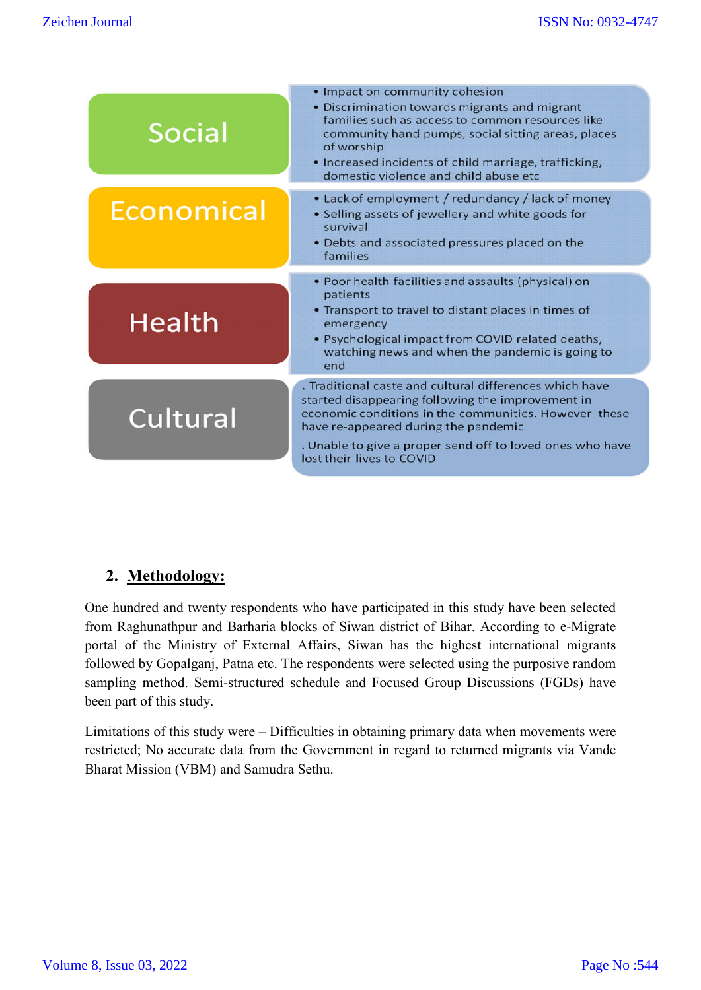| <b>Social</b> | • Impact on community cohesion<br>• Discrimination towards migrants and migrant<br>families such as access to common resources like<br>community hand pumps, social sitting areas, places<br>of worship<br>• Increased incidents of child marriage, trafficking,<br>domestic violence and child abuse etc |
|---------------|-----------------------------------------------------------------------------------------------------------------------------------------------------------------------------------------------------------------------------------------------------------------------------------------------------------|
| Economical    | • Lack of employment / redundancy / lack of money<br>• Selling assets of jewellery and white goods for<br>survival<br>• Debts and associated pressures placed on the<br>families                                                                                                                          |
|               | • Poor health facilities and assaults (physical) on<br>patients                                                                                                                                                                                                                                           |
| <b>Health</b> | • Transport to travel to distant places in times of<br>emergency<br>• Psychological impact from COVID related deaths,<br>watching news and when the pandemic is going to<br>end                                                                                                                           |
|               | . Traditional caste and cultural differences which have<br>started disappearing following the improvement in                                                                                                                                                                                              |
| Cultural      | economic conditions in the communities. However these<br>have re-appeared during the pandemic                                                                                                                                                                                                             |
|               | . Unable to give a proper send off to loved ones who have<br>lost their lives to COVID                                                                                                                                                                                                                    |

# **2. Methodology:**

One hundred and twenty respondents who have participated in this study have been selected from Raghunathpur and Barharia blocks of Siwan district of Bihar. According to e-Migrate portal of the Ministry of External Affairs, Siwan has the highest international migrants followed by Gopalganj, Patna etc. The respondents were selected using the purposive random sampling method. Semi-structured schedule and Focused Group Discussions (FGDs) have been part of this study.

Limitations of this study were – Difficulties in obtaining primary data when movements were restricted; No accurate data from the Government in regard to returned migrants via Vande Bharat Mission (VBM) and Samudra Sethu.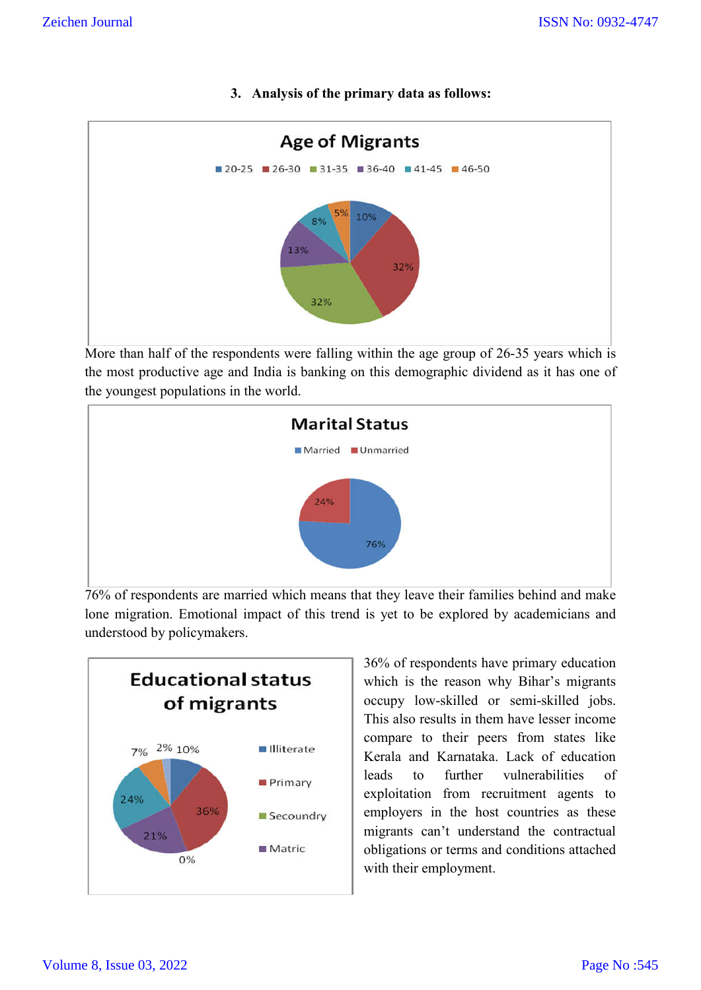**3. Analysis of the primary data as follows:**



More than half of the respondents were falling within the age group of 26-35 years which is the most productive age and India is banking on this demographic dividend as it has one of the youngest populations in the world.



76% of respondents are married which means that they leave their families behind and make lone migration. Emotional impact of this trend is yet to be explored by academicians and understood by policymakers.



36% of respondents have primary education which is the reason why Bihar's migrants occupy low-skilled or semi-skilled jobs. This also results in them have lesser income compare to their peers from states like Kerala and Karnataka. Lack of education leads to further vulnerabilities of exploitation from recruitment agents to employers in the host countries as these migrants can't understand the contractual obligations or terms and conditions attached with their employment.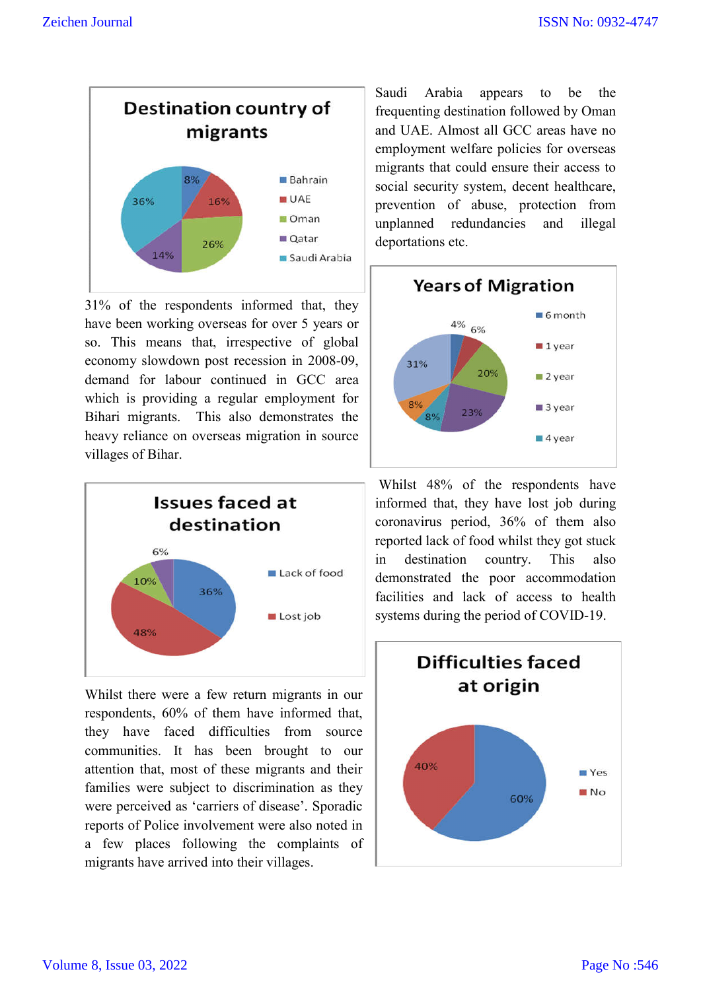

31% of the respondents informed that, they have been working overseas for over 5 years or so. This means that, irrespective of global economy slowdown post recession in 2008-09, demand for labour continued in GCC area which is providing a regular employment for Bihari migrants. This also demonstrates the heavy reliance on overseas migration in source villages of Bihar.



Whilst there were a few return migrants in our respondents, 60% of them have informed that, they have faced difficulties from source communities. It has been brought to our attention that, most of these migrants and their families were subject to discrimination as they were perceived as 'carriers of disease'. Sporadic reports of Police involvement were also noted in a few places following the complaints of migrants have arrived into their villages.

Saudi Arabia appears to be the frequenting destination followed by Oman and UAE. Almost all GCC areas have no employment welfare policies for overseas migrants that could ensure their access to social security system, decent healthcare, prevention of abuse, protection from unplanned redundancies and illegal deportations etc.



Whilst 48% of the respondents have informed that, they have lost job during coronavirus period, 36% of them also reported lack of food whilst they got stuck in destination country. This also demonstrated the poor accommodation facilities and lack of access to health systems during the period of COVID-19.

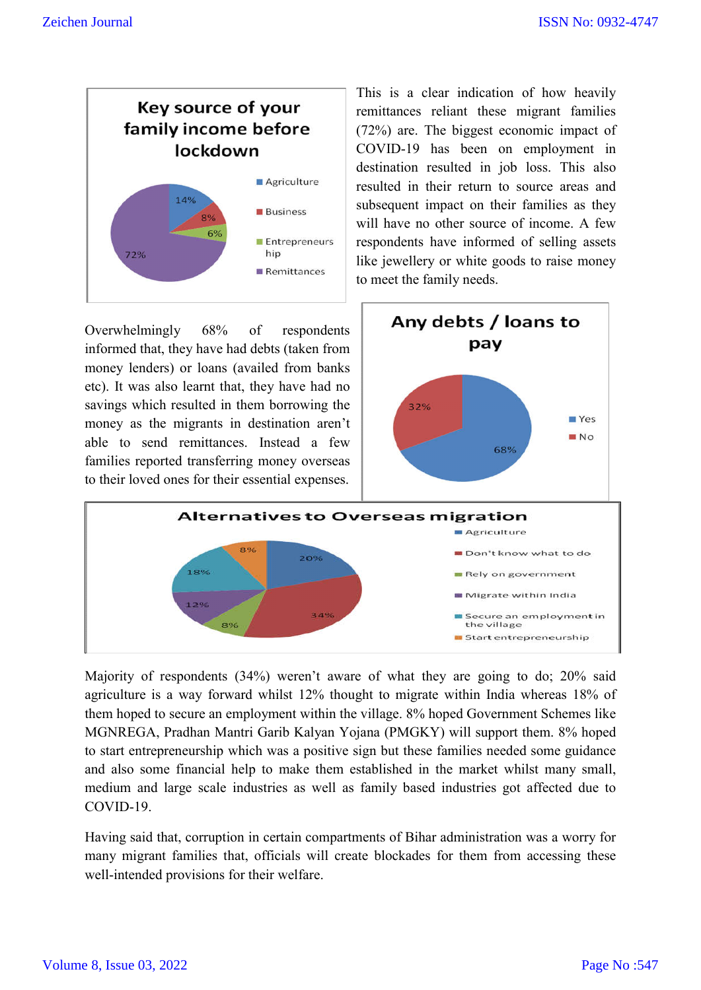

Overwhelmingly 68% of respondents informed that, they have had debts (taken from money lenders) or loans (availed from banks etc). It was also learnt that, they have had no savings which resulted in them borrowing the money as the migrants in destination aren't able to send remittances. Instead a few families reported transferring money overseas to their loved ones for their essential expenses.

This is a clear indication of how heavily remittances reliant these migrant families (72%) are. The biggest economic impact of COVID-19 has been on employment in destination resulted in job loss. This also resulted in their return to source areas and subsequent impact on their families as they will have no other source of income. A few respondents have informed of selling assets like jewellery or white goods to raise money to meet the family needs.





Majority of respondents (34%) weren't aware of what they are going to do; 20% said agriculture is a way forward whilst 12% thought to migrate within India whereas 18% of them hoped to secure an employment within the village. 8% hoped Government Schemes like MGNREGA, Pradhan Mantri Garib Kalyan Yojana (PMGKY) will support them. 8% hoped to start entrepreneurship which was a positive sign but these families needed some guidance and also some financial help to make them established in the market whilst many small, medium and large scale industries as well as family based industries got affected due to COVID-19.

Having said that, corruption in certain compartments of Bihar administration was a worry for many migrant families that, officials will create blockades for them from accessing these well-intended provisions for their welfare.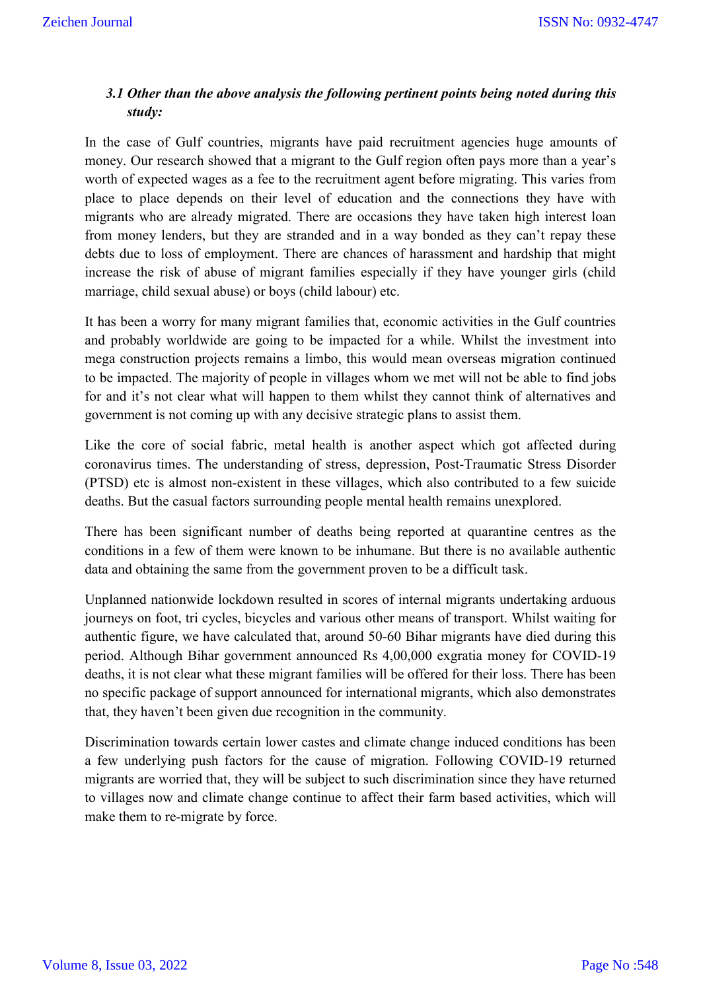### *3.1 Other than the above analysis the following pertinent points being noted during this study:*

In the case of Gulf countries, migrants have paid recruitment agencies huge amounts of money. Our research showed that a migrant to the Gulf region often pays more than a year's worth of expected wages as a fee to the recruitment agent before migrating. This varies from place to place depends on their level of education and the connections they have with migrants who are already migrated. There are occasions they have taken high interest loan from money lenders, but they are stranded and in a way bonded as they can't repay these debts due to loss of employment. There are chances of harassment and hardship that might increase the risk of abuse of migrant families especially if they have younger girls (child marriage, child sexual abuse) or boys (child labour) etc.

It has been a worry for many migrant families that, economic activities in the Gulf countries and probably worldwide are going to be impacted for a while. Whilst the investment into mega construction projects remains a limbo, this would mean overseas migration continued to be impacted. The majority of people in villages whom we met will not be able to find jobs for and it's not clear what will happen to them whilst they cannot think of alternatives and government is not coming up with any decisive strategic plans to assist them.

Like the core of social fabric, metal health is another aspect which got affected during coronavirus times. The understanding of stress, depression, Post-Traumatic Stress Disorder (PTSD) etc is almost non-existent in these villages, which also contributed to a few suicide deaths. But the casual factors surrounding people mental health remains unexplored.

There has been significant number of deaths being reported at quarantine centres as the conditions in a few of them were known to be inhumane. But there is no available authentic data and obtaining the same from the government proven to be a difficult task.

Unplanned nationwide lockdown resulted in scores of internal migrants undertaking arduous journeys on foot, tri cycles, bicycles and various other means of transport. Whilst waiting for authentic figure, we have calculated that, around 50-60 Bihar migrants have died during this period. Although Bihar government announced Rs 4,00,000 exgratia money for COVID-19 deaths, it is not clear what these migrant families will be offered for their loss. There has been no specific package of support announced for international migrants, which also demonstrates that, they haven't been given due recognition in the community.

Discrimination towards certain lower castes and climate change induced conditions has been a few underlying push factors for the cause of migration. Following COVID-19 returned migrants are worried that, they will be subject to such discrimination since they have returned to villages now and climate change continue to affect their farm based activities, which will make them to re-migrate by force.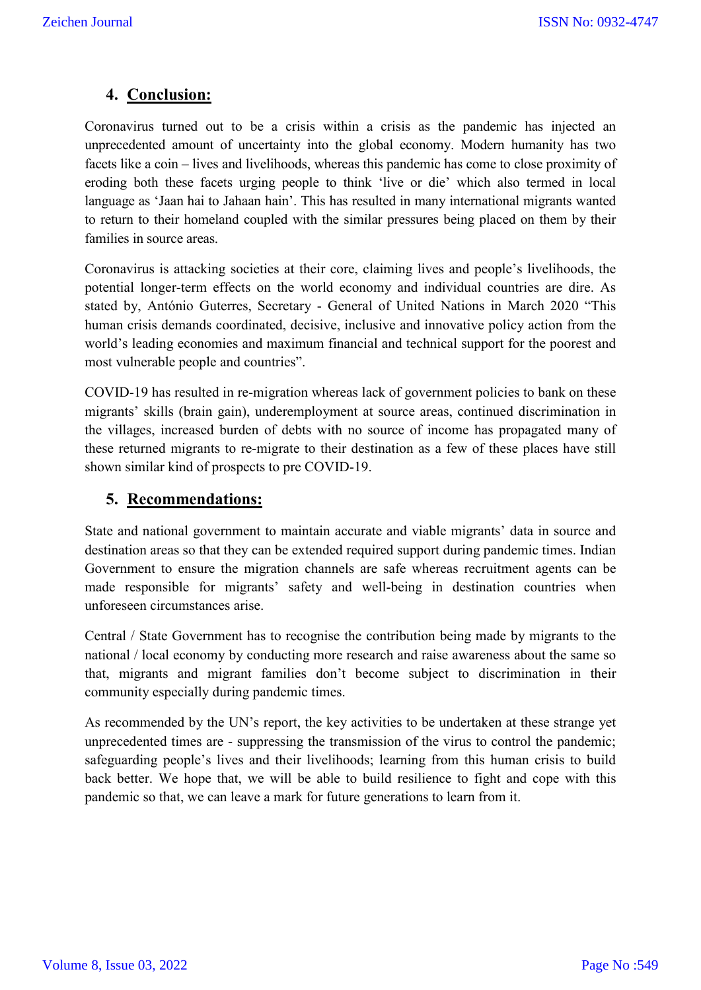### **4. Conclusion:**

Coronavirus turned out to be a crisis within a crisis as the pandemic has injected an unprecedented amount of uncertainty into the global economy. Modern humanity has two facets like a coin – lives and livelihoods, whereas this pandemic has come to close proximity of eroding both these facets urging people to think 'live or die' which also termed in local language as 'Jaan hai to Jahaan hain'. This has resulted in many international migrants wanted to return to their homeland coupled with the similar pressures being placed on them by their families in source areas.

Coronavirus is attacking societies at their core, claiming lives and people's livelihoods, the potential longer-term effects on the world economy and individual countries are dire. As stated by, António Guterres, Secretary - General of United Nations in March 2020 "This human crisis demands coordinated, decisive, inclusive and innovative policy action from the world's leading economies and maximum financial and technical support for the poorest and most vulnerable people and countries".

COVID-19 has resulted in re-migration whereas lack of government policies to bank on these migrants' skills (brain gain), underemployment at source areas, continued discrimination in the villages, increased burden of debts with no source of income has propagated many of these returned migrants to re-migrate to their destination as a few of these places have still shown similar kind of prospects to pre COVID-19.

#### **5. Recommendations:**

State and national government to maintain accurate and viable migrants' data in source and destination areas so that they can be extended required support during pandemic times. Indian Government to ensure the migration channels are safe whereas recruitment agents can be made responsible for migrants' safety and well-being in destination countries when unforeseen circumstances arise.

Central / State Government has to recognise the contribution being made by migrants to the national / local economy by conducting more research and raise awareness about the same so that, migrants and migrant families don't become subject to discrimination in their community especially during pandemic times.

As recommended by the UN's report, the key activities to be undertaken at these strange yet unprecedented times are - suppressing the transmission of the virus to control the pandemic; safeguarding people's lives and their livelihoods; learning from this human crisis to build back better. We hope that, we will be able to build resilience to fight and cope with this pandemic so that, we can leave a mark for future generations to learn from it.